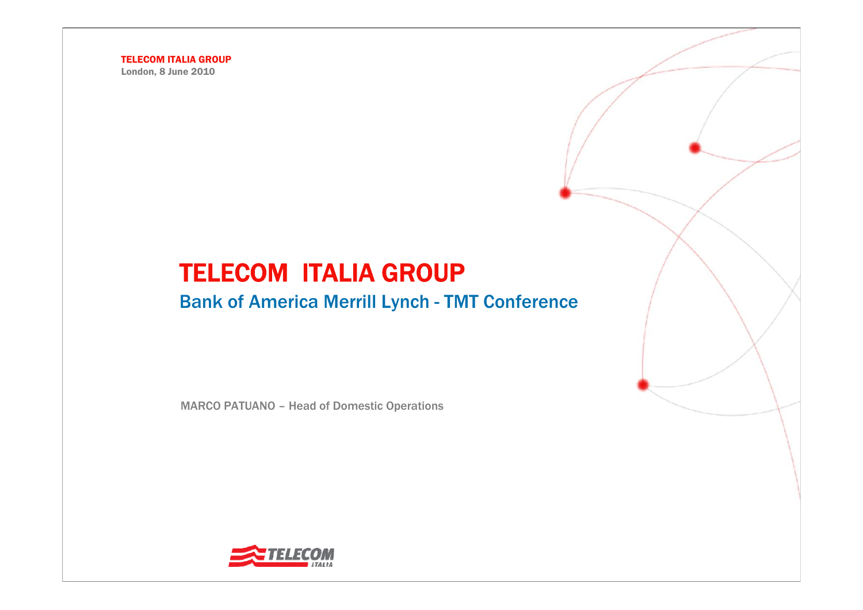London, 8 June 2010

# TELECOM ITALIA GROUP

### Bank of America Merrill Lynch - TMT Conference

MARCO PATUANO – Head of Domestic Operations

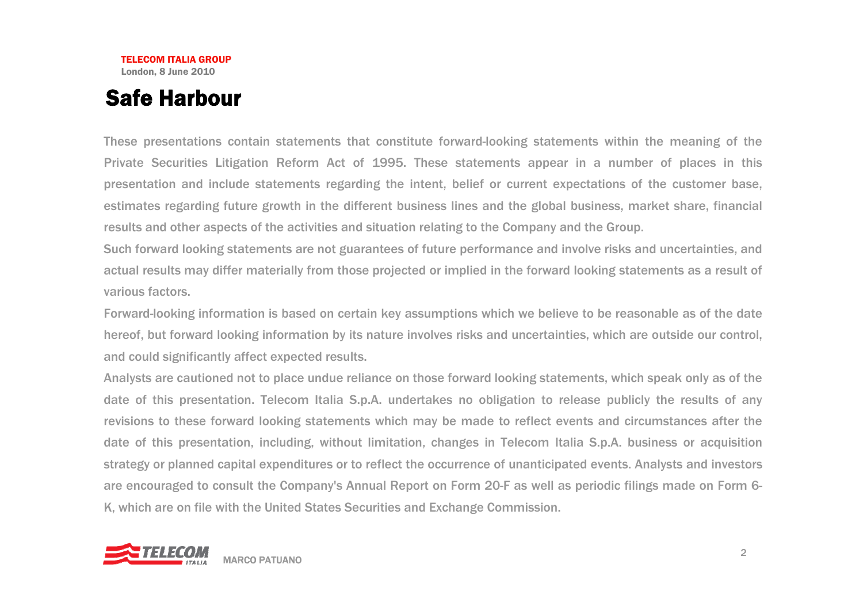### Safe Harbour

These presentations contain statements that constitute forward-looking statements within the meaning of the Private Securities Litigation Reform Act of 1995. These statements appear in a number of places in this presentation and include statements regarding the intent, belief or current expectations of the customer base, estimates regarding future growth in the different business lines and the global business, market share, financial results and other aspects of the activities and situation relating to the Company and the Group.

Such forward looking statements are not guarantees of future performance and involve risks and uncertainties, and actual results may differ materially from those projected or implied in the forward looking statements as a result of various factors.

Forward-looking information is based on certain key assumptions which we believe to be reasonable as of the date hereof, but forward looking information by its nature involves risks and uncertainties, which are outside our control, and could significantly affect expected results.

Analysts are cautioned not to place undue reliance on those forward looking statements, which speak only as of the date of this presentation. Telecom Italia S.p.A. undertakes no obligation to release publicly the results of any revisions to these forward looking statements which may be made to reflect events and circumstances after the date of this presentation, including, without limitation, changes in Telecom Italia S.p.A. business or acquisition strategy or planned capital expenditures or to reflect the occurrence of unanticipated events. Analysts and investors are encouraged to consult the Company's Annual Report on Form 20-F as well as periodic filings made on Form 6- K, which are on file with the United States Securities and Exchange Commission.

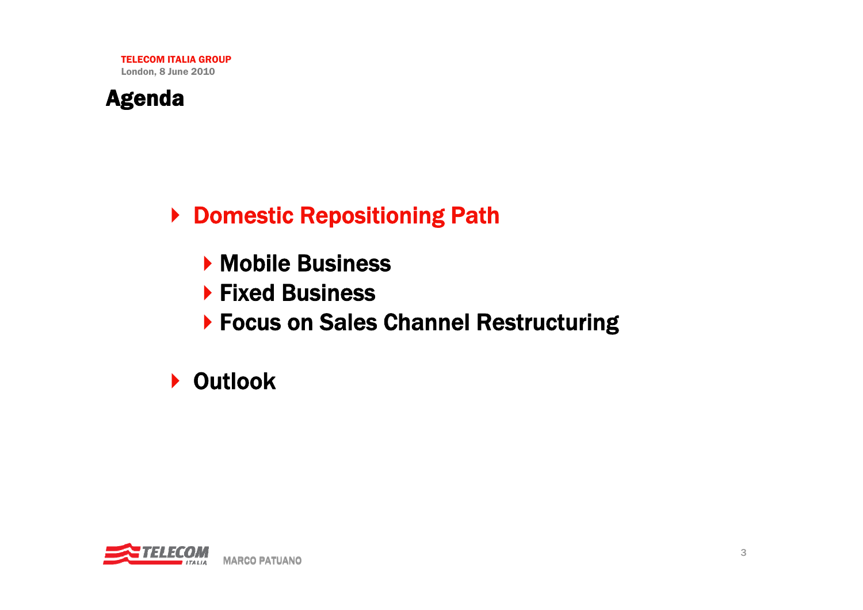

▶ Domestic Repositioning Path

- **Mobile Business**
- ▶ Fixed Business
- ▶ Focus on Sales Channel Restructuring

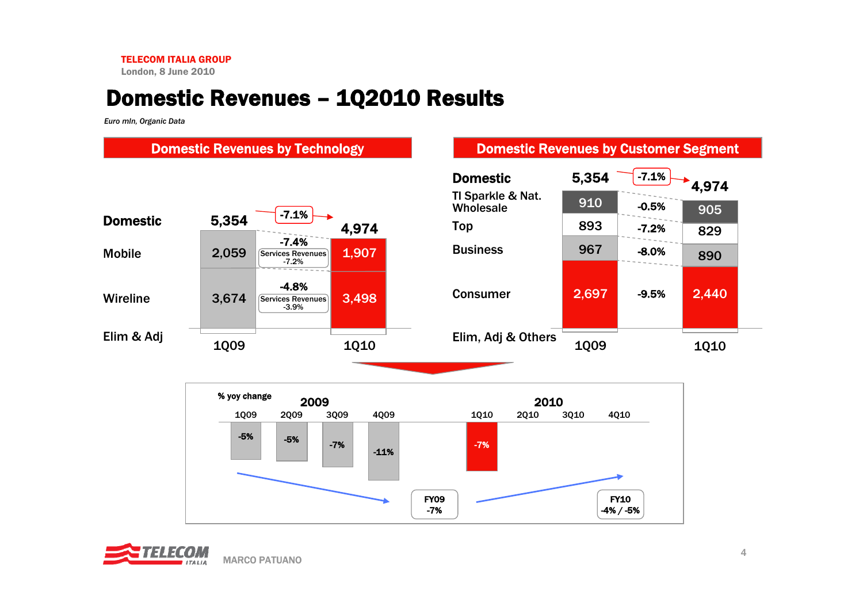London, 8 June 2010

### Domestic Revenues – 1Q2010 Results

*Euro mln, Organic Data*



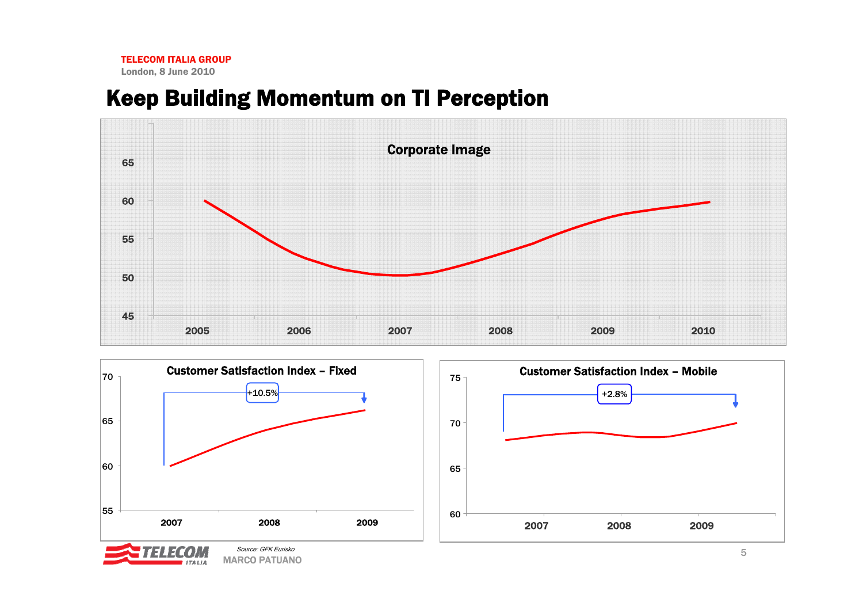### Keep Building Momentum on TI Perception





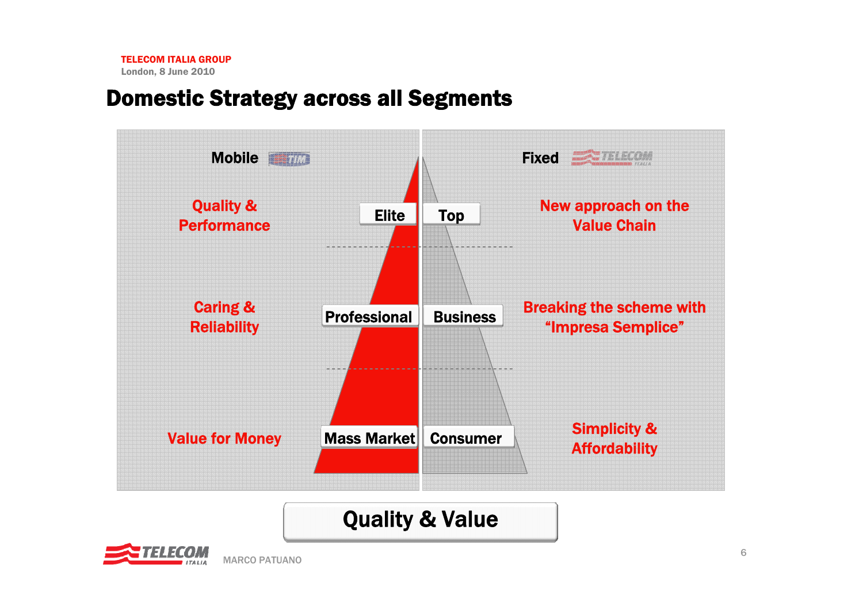### Domestic Strategy across all Segments



# Quality & Value

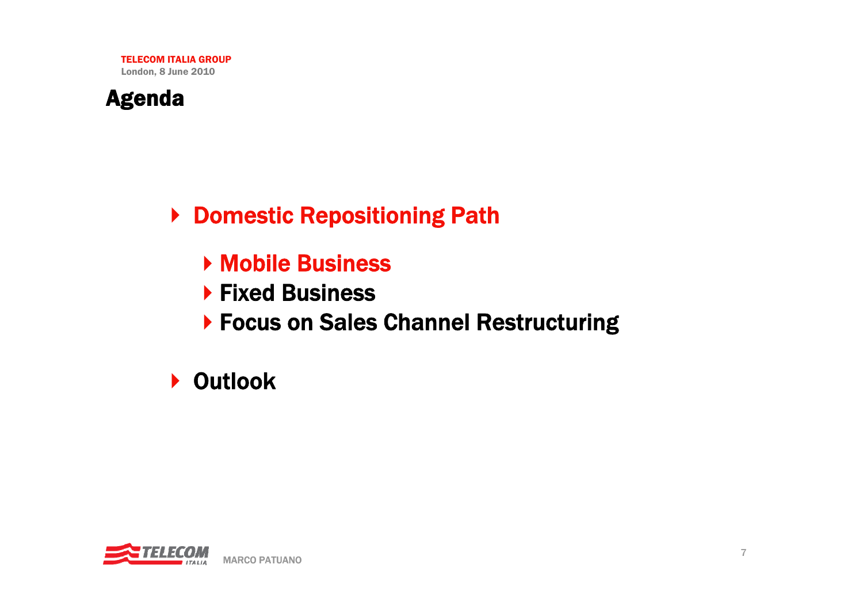

▶ Domestic Repositioning Path

- Mobile Business
- $\blacktriangleright$  Fixed Business
- ▶ Focus on Sales Channel Restructuring

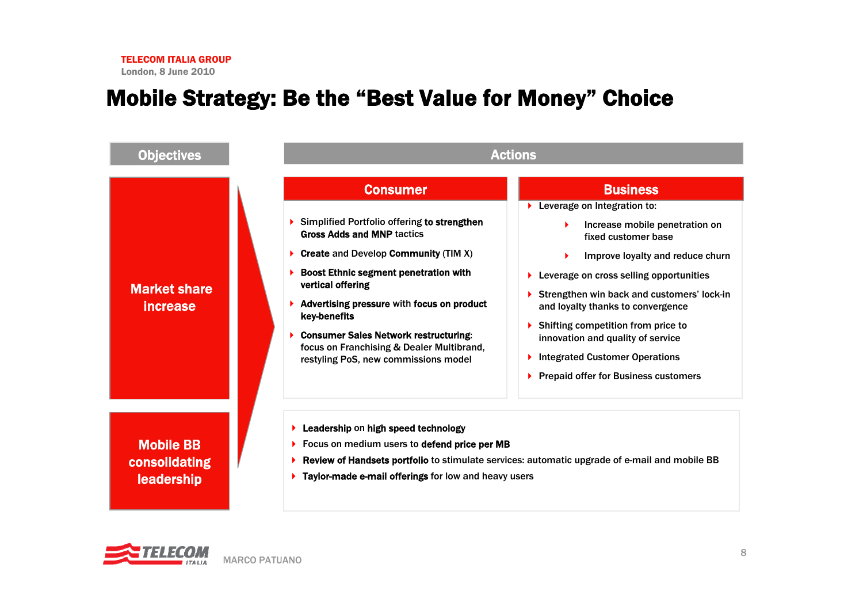### Mobile Strategy: Be the "Best Value for Money" Choice



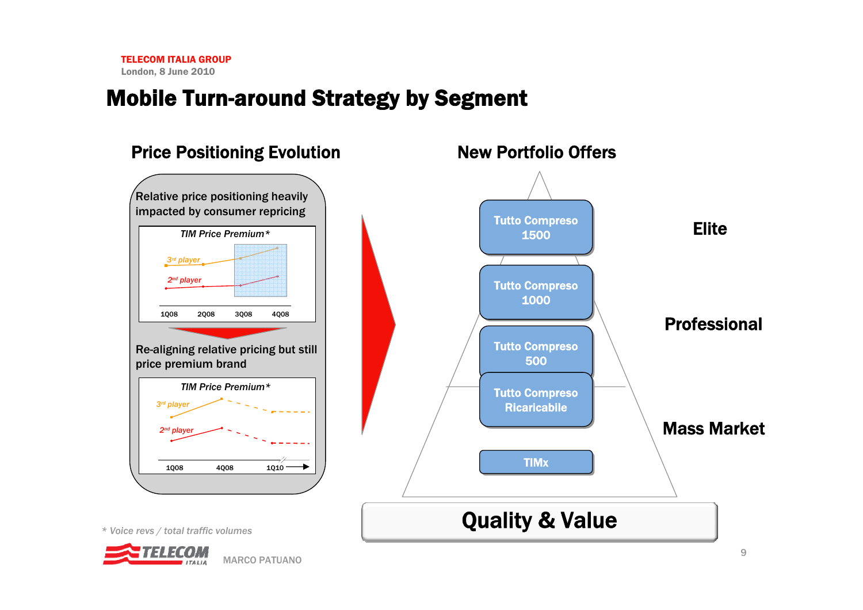### Mobile Turn-around Strategy by Segment

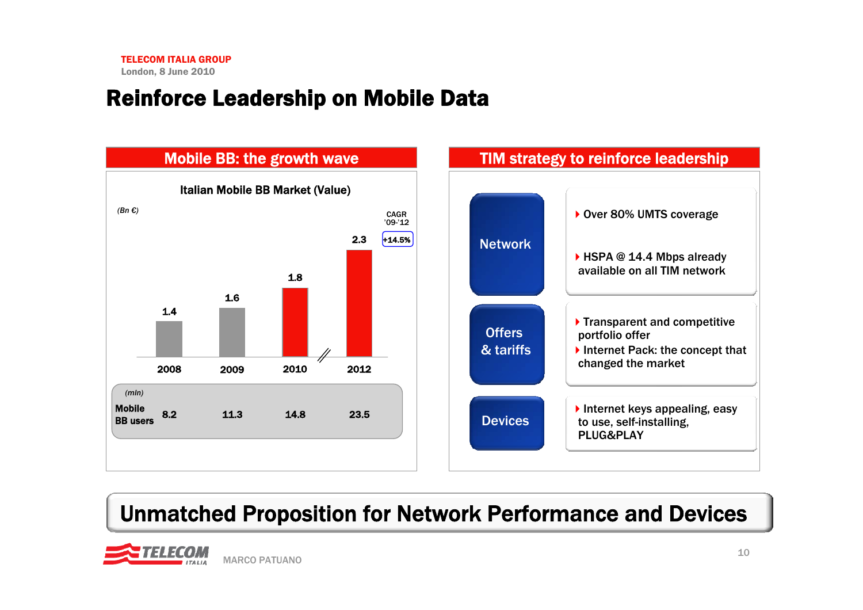# Reinforce Leadership on Mobile Data



# Unmatched Proposition for Network Performance and Devices

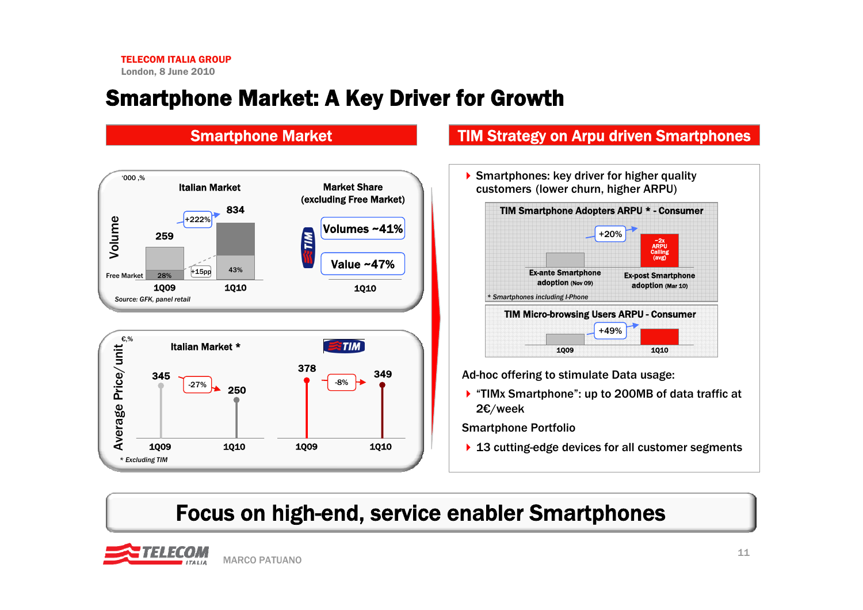### Smartphone Market: A Key Driver for Growth



### Smartphone Market **TIM Strategy on Arpu driven Smartphones**

Smartphones: key driver for higher quality customers (lower churn, higher ARPU)



Ad-hoc offering to stimulate Data usage:

▶ "TIMx Smartphone": up to 200MB of data traffic at 2€/week

Smartphone Portfolio

▶ 13 cutting-edge devices for all customer segments

## Focus on high-end, service enabler Smartphones

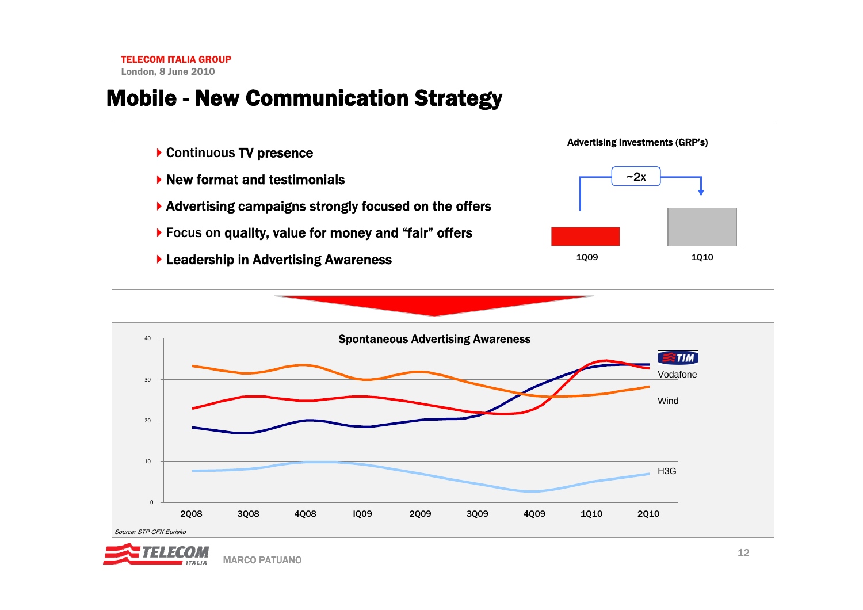### Mobile - New Communication Strategy





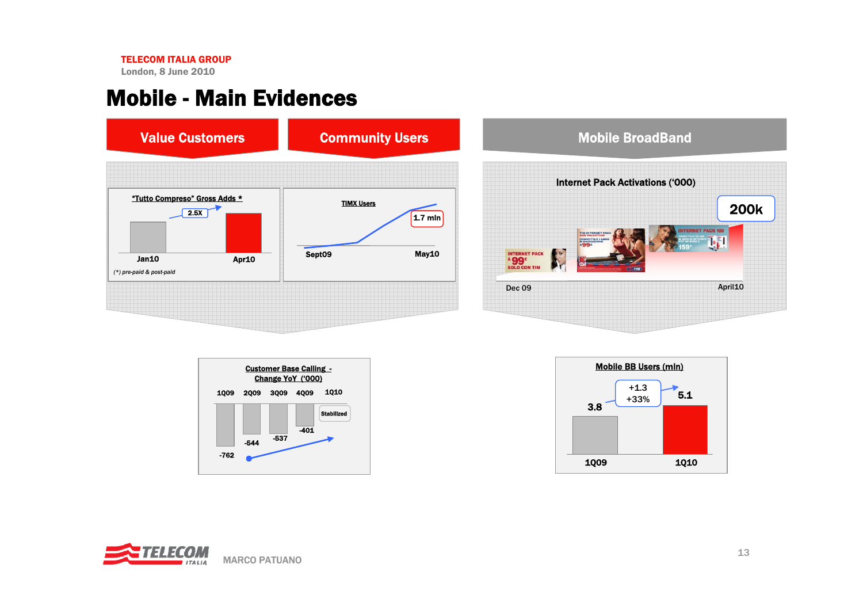London, 8 June 2010

### Mobile - Main Evidences



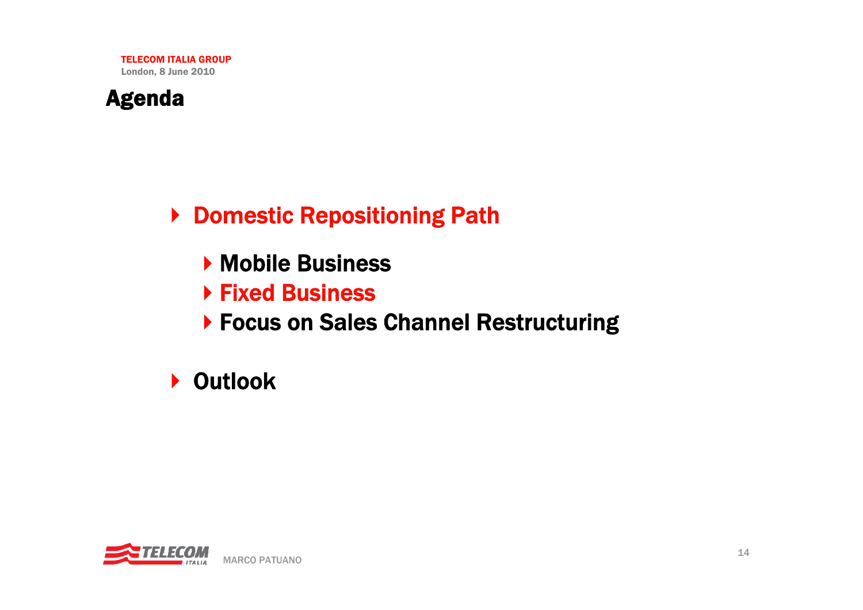

▶ Domestic Repositioning Path

- **Mobile Business**
- Fixed Business
- ▶ Focus on Sales Channel Restructuring

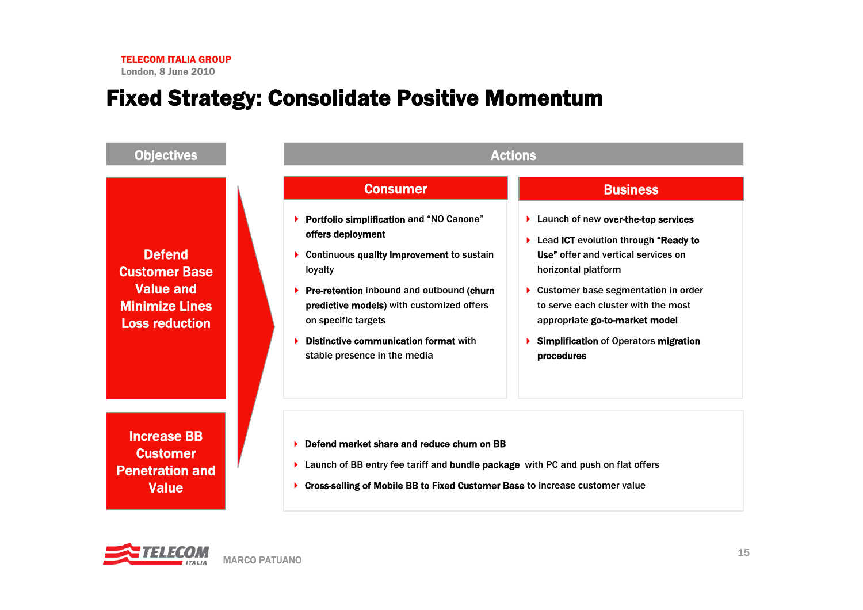### Fixed Strategy: Consolidate Positive Momentum

| <b>Objectives</b>                                                                                           | <b>Actions</b>                                                                                                                                                                                                                                                                                                                                                                                                                                                                                                                                                                                                                                                                                |
|-------------------------------------------------------------------------------------------------------------|-----------------------------------------------------------------------------------------------------------------------------------------------------------------------------------------------------------------------------------------------------------------------------------------------------------------------------------------------------------------------------------------------------------------------------------------------------------------------------------------------------------------------------------------------------------------------------------------------------------------------------------------------------------------------------------------------|
| <b>Defend</b><br><b>Customer Base</b><br><b>Value and</b><br><b>Minimize Lines</b><br><b>Loss reduction</b> | <b>Consumer</b><br><b>Business</b><br><b>Portfolio simplification and "NO Canone"</b><br>> Launch of new over-the-top services<br>offers deployment<br>▶ Lead ICT evolution through "Ready to<br>Use" offer and vertical services on<br>Continuous quality improvement to sustain<br>loyalty<br>horizontal platform<br>Pre-retention inbound and outbound (churn<br>▶ Customer base segmentation in order<br>predictive models) with customized offers<br>to serve each cluster with the most<br>on specific targets<br>appropriate go-to-market model<br>Distinctive communication format with<br><b>Simplification of Operators migration</b><br>stable presence in the media<br>procedures |
| <b>Increase BB</b><br><b>Customer</b><br><b>Penetration and</b><br><b>Value</b>                             | Defend market share and reduce churn on BB<br>Launch of BB entry fee tariff and bundle package with PC and push on flat offers<br>Cross-selling of Mobile BB to Fixed Customer Base to increase customer value                                                                                                                                                                                                                                                                                                                                                                                                                                                                                |

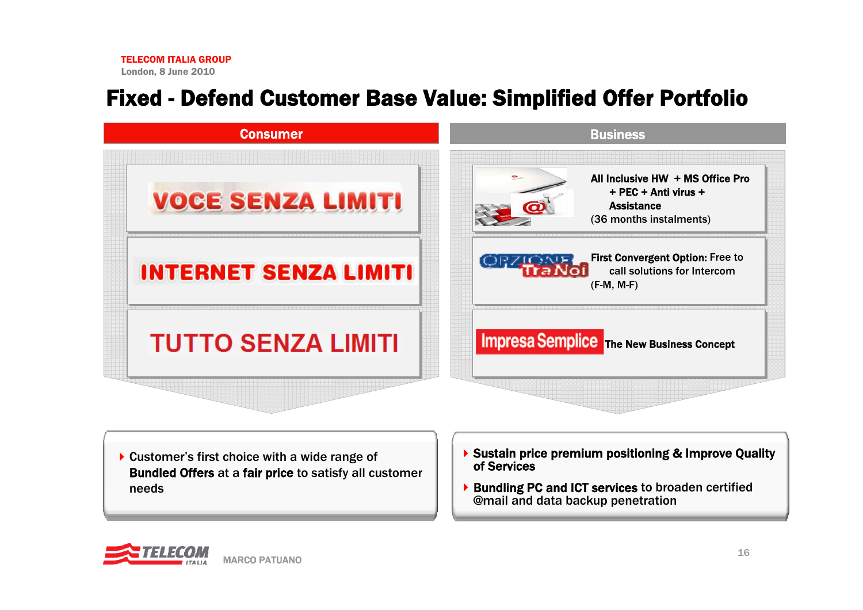## Fixed - Defend Customer Base Value: Simplified Offer Portfolio



- ▶ Customer's first choice with a wide range of Bundled Offers at a fair price to satisfy all customer needs
- ▶ Sustain price premium positioning & Improve Quality of Services
- ▶ Bundling PC and ICT services to broaden certified @mail and data backup penetration

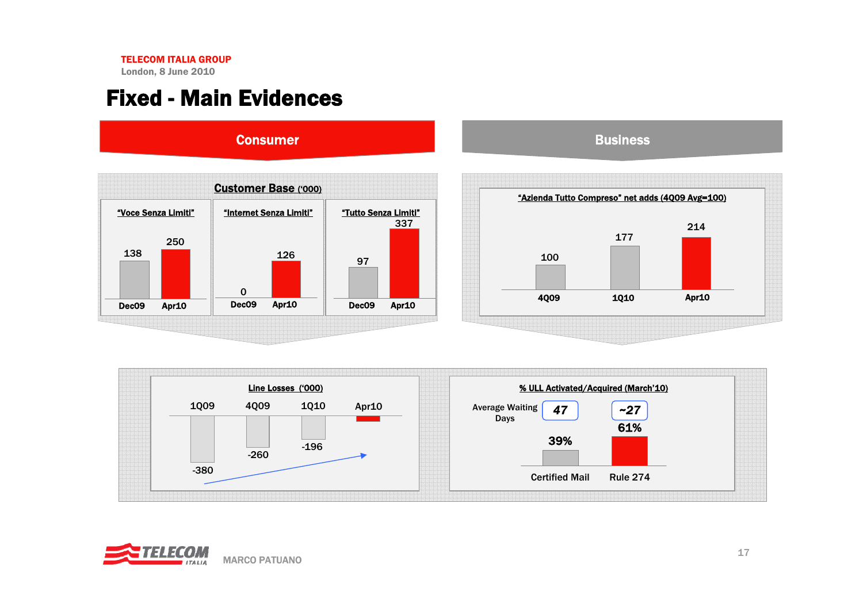London, 8 June 2010

### Fixed - Main Evidences



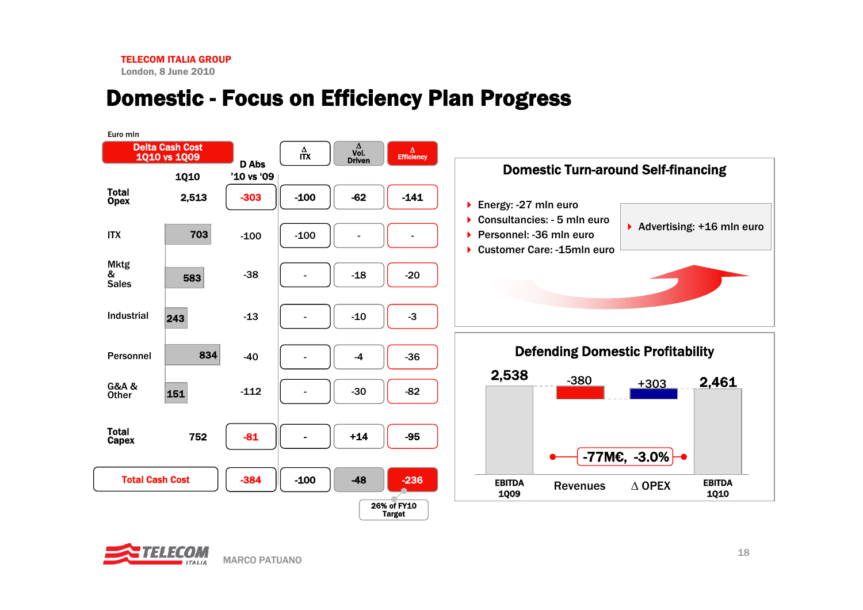### Domestic - Focus on Efficiency Plan Progress



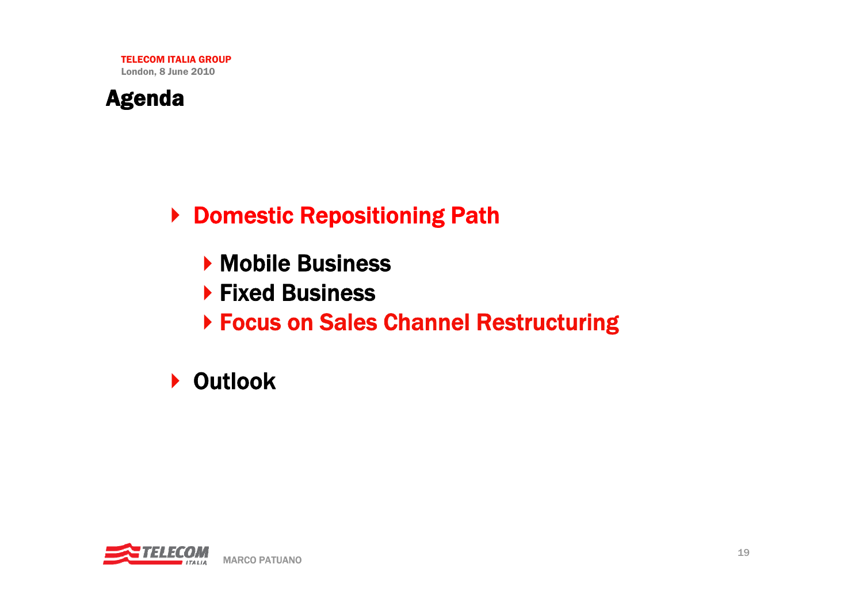

▶ Domestic Repositioning Path

- **Mobile Business**
- ▶ Fixed Business
- Focus on Sales Channel Restructuring

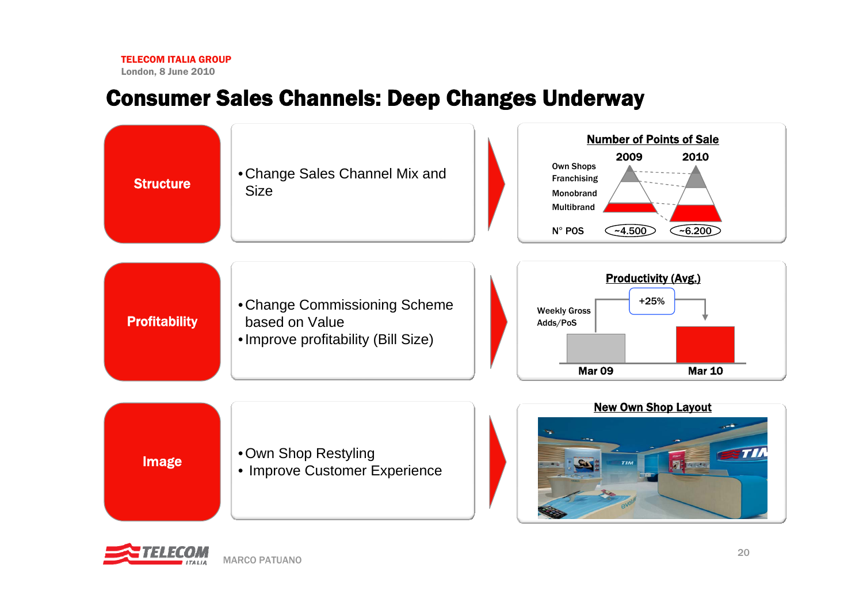London, 8 June 2010

### Consumer Sales Channels: Deep Changes Underway



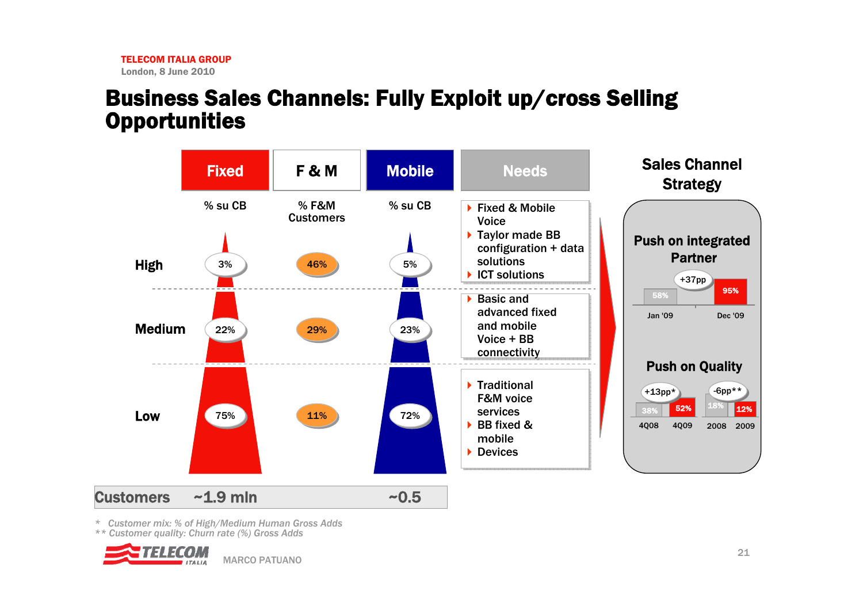### Business Sales Channels: Fully Exploit up/cross Selling **Opportunities**



*\* Customer mix: % of High/Medium Human Gross Adds*

*\*\* Customer quality: Churn rate (%) Gross Adds*

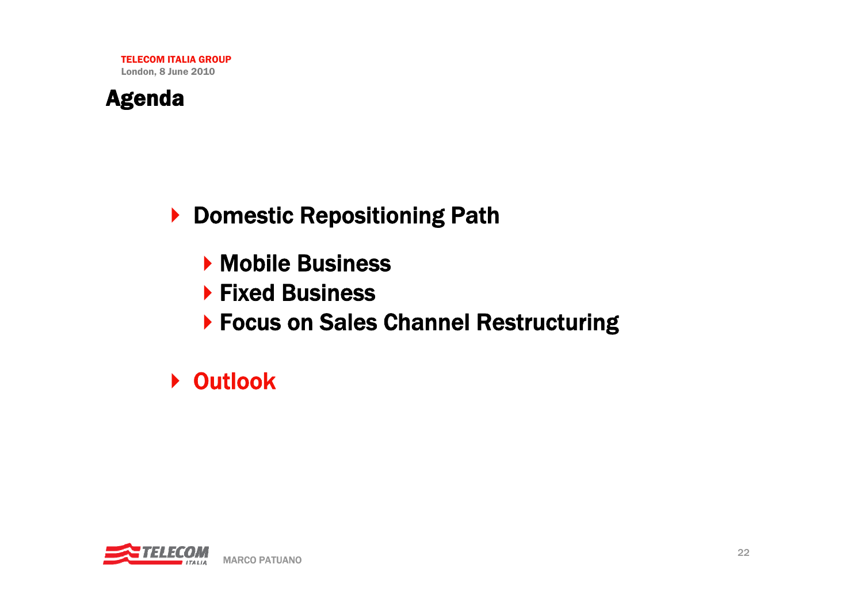

▶ Domestic Repositioning Path

- **Mobile Business**
- ▶ Fixed Business
- ▶ Focus on Sales Channel Restructuring